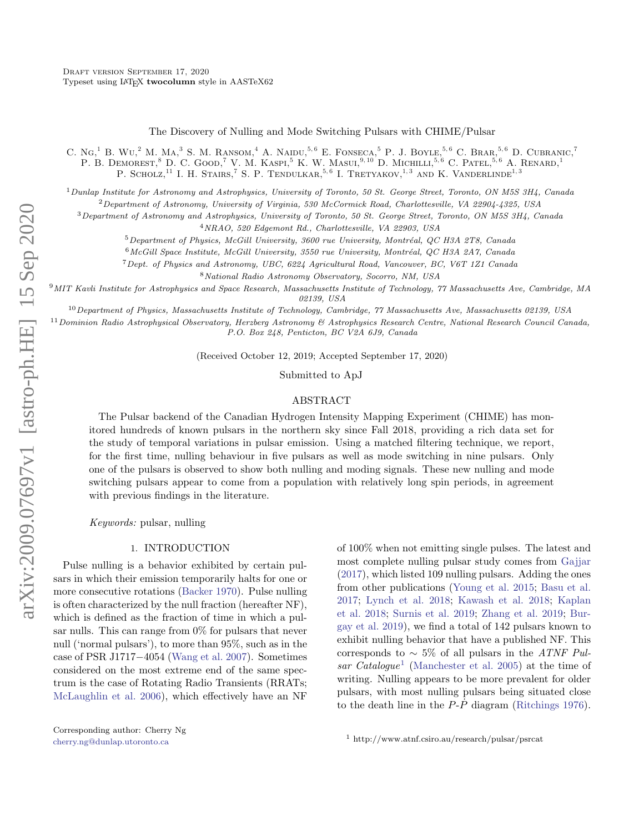The Discovery of Nulling and Mode Switching Pulsars with CHIME/Pulsar

C. Ng,<sup>1</sup> B. Wu,<sup>2</sup> M. Ma,<sup>3</sup> S. M. Ransom,<sup>4</sup> A. Naidu,<sup>5,6</sup> E. Fonseca,<sup>5</sup> P. J. Boyle,<sup>5,6</sup> C. Brar,<sup>5,6</sup> D. Cubranic,<sup>7</sup> P. B. DEMOREST,<sup>8</sup> D. C. GOOD,<sup>7</sup> V. M. KASPI,<sup>5</sup> K. W. MASUI,<sup>9,10</sup> D. MICHILLI,<sup>5,6</sup> C. PATEL,<sup>5,6</sup> A. RENARD,<sup>1</sup> P. SCHOLZ,<sup>11</sup> I. H. Stairs,<sup>7</sup> S. P. Tendulkar,<sup>5,6</sup> I. Tretyakov,<sup>1,3</sup> and K. Vanderlinde<sup>1,3</sup>

 $1$  Dunlap Institute for Astronomy and Astrophysics, University of Toronto, 50 St. George Street, Toronto, ON M5S 3H4, Canada

<sup>2</sup>Department of Astronomy, University of Virginia, 530 McCormick Road, Charlottesville, VA 22904-4325, USA

<sup>3</sup>Department of Astronomy and Astrophysics, University of Toronto, 50 St. George Street, Toronto, ON M5S 3H4, Canada

<sup>4</sup>NRAO, 520 Edgemont Rd., Charlottesville, VA 22903, USA

 $5$ Department of Physics, McGill University, 3600 rue University, Montréal, QC H3A 2T8, Canada

 $6$ McGill Space Institute, McGill University, 3550 rue University, Montréal, QC H3A 2A7, Canada

<sup>7</sup>Dept. of Physics and Astronomy, UBC, 6224 Agricultural Road, Vancouver, BC, V6T 1Z1 Canada

<sup>8</sup>National Radio Astronomy Observatory, Socorro, NM, USA

<sup>9</sup>MIT Kavli Institute for Astrophysics and Space Research, Massachusetts Institute of Technology, 77 Massachusetts Ave, Cambridge, MA 02139, USA

<sup>10</sup>Department of Physics, Massachusetts Institute of Technology, Cambridge, 77 Massachusetts Ave, Massachusetts 02139, USA

 $11$ Dominion Radio Astrophysical Observatory, Herzberg Astronomy & Astrophysics Research Centre, National Research Council Canada, P.O. Box 248, Penticton, BC V2A 6J9, Canada

(Received October 12, 2019; Accepted September 17, 2020)

Submitted to ApJ

#### ABSTRACT

The Pulsar backend of the Canadian Hydrogen Intensity Mapping Experiment (CHIME) has monitored hundreds of known pulsars in the northern sky since Fall 2018, providing a rich data set for the study of temporal variations in pulsar emission. Using a matched filtering technique, we report, for the first time, nulling behaviour in five pulsars as well as mode switching in nine pulsars. Only one of the pulsars is observed to show both nulling and moding signals. These new nulling and mode switching pulsars appear to come from a population with relatively long spin periods, in agreement with previous findings in the literature.

Keywords: pulsar, nulling

## 1. INTRODUCTION

Pulse nulling is a behavior exhibited by certain pulsars in which their emission temporarily halts for one or more consecutive rotations [\(Backer](#page-9-0) [1970\)](#page-9-0). Pulse nulling is often characterized by the null fraction (hereafter NF), which is defined as the fraction of time in which a pulsar nulls. This can range from  $0\%$  for pulsars that never null ('normal pulsars'), to more than 95%, such as in the case of PSR J1717−4054 [\(Wang et al.](#page-10-0) [2007\)](#page-10-0). Sometimes considered on the most extreme end of the same spectrum is the case of Rotating Radio Transients (RRATs; [McLaughlin et al.](#page-10-1) [2006\)](#page-10-1), which effectively have an NF

of 100% when not emitting single pulses. The latest and most complete nulling pulsar study comes from [Gajjar](#page-9-1) [\(2017\)](#page-9-1), which listed 109 nulling pulsars. Adding the ones from other publications [\(Young et al.](#page-10-2) [2015;](#page-10-2) [Basu et al.](#page-9-2) [2017;](#page-9-2) [Lynch et al.](#page-9-3) [2018;](#page-9-3) [Kawash et al.](#page-9-4) [2018;](#page-9-4) [Kaplan](#page-9-5) [et al.](#page-9-5) [2018;](#page-9-5) [Surnis et al.](#page-10-3) [2019;](#page-10-3) [Zhang et al.](#page-10-4) [2019;](#page-10-4) [Bur](#page-9-6)[gay et al.](#page-9-6) [2019\)](#page-9-6), we find a total of 142 pulsars known to exhibit nulling behavior that have a published NF. This corresponds to  $\sim 5\%$  of all pulsars in the ATNF Pul-sar Catalogue<sup>[1](#page-0-0)</sup> [\(Manchester et al.](#page-9-7) [2005\)](#page-9-7) at the time of writing. Nulling appears to be more prevalent for older pulsars, with most nulling pulsars being situated close to the death line in the  $P-\dot{P}$  diagram [\(Ritchings](#page-10-5) [1976\)](#page-10-5).

<span id="page-0-0"></span><sup>1</sup> http://www.atnf.csiro.au/research/pulsar/psrcat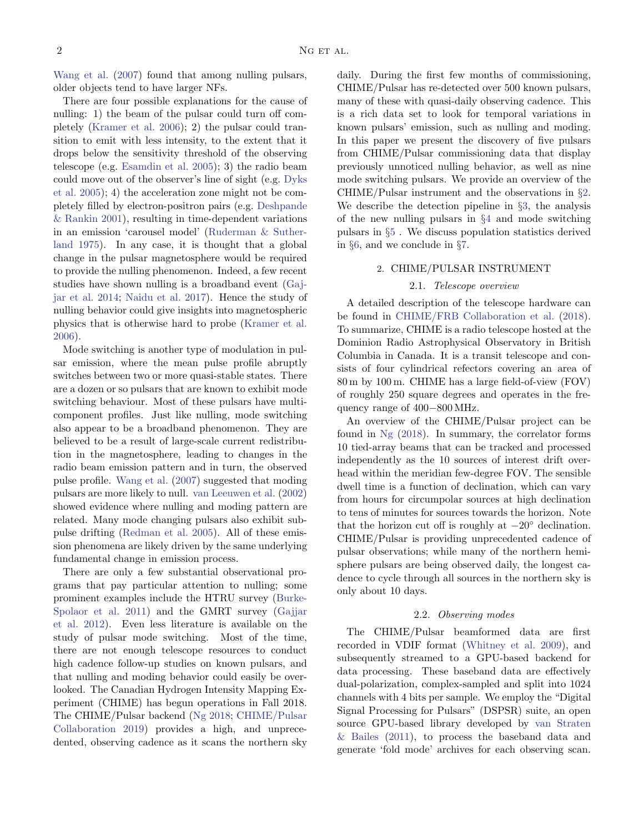[Wang et al.](#page-10-0) [\(2007\)](#page-10-0) found that among nulling pulsars, older objects tend to have larger NFs.

There are four possible explanations for the cause of nulling: 1) the beam of the pulsar could turn off completely [\(Kramer et al.](#page-9-8) [2006\)](#page-9-8); 2) the pulsar could transition to emit with less intensity, to the extent that it drops below the sensitivity threshold of the observing telescope (e.g. [Esamdin et al.](#page-9-9) [2005\)](#page-9-9); 3) the radio beam could move out of the observer's line of sight (e.g. [Dyks](#page-9-10) [et al.](#page-9-10) [2005\)](#page-9-10); 4) the acceleration zone might not be completely filled by electron-positron pairs (e.g. [Deshpande](#page-9-11) [& Rankin](#page-9-11) [2001\)](#page-9-11), resulting in time-dependent variations in an emission 'carousel model' [\(Ruderman & Suther](#page-10-6)[land](#page-10-6) [1975\)](#page-10-6). In any case, it is thought that a global change in the pulsar magnetosphere would be required to provide the nulling phenomenon. Indeed, a few recent studies have shown nulling is a broadband event [\(Gaj](#page-9-12)[jar et al.](#page-9-12) [2014;](#page-9-12) [Naidu et al.](#page-10-7) [2017\)](#page-10-7). Hence the study of nulling behavior could give insights into magnetospheric physics that is otherwise hard to probe [\(Kramer et al.](#page-9-8) [2006\)](#page-9-8).

Mode switching is another type of modulation in pulsar emission, where the mean pulse profile abruptly switches between two or more quasi-stable states. There are a dozen or so pulsars that are known to exhibit mode switching behaviour. Most of these pulsars have multicomponent profiles. Just like nulling, mode switching also appear to be a broadband phenomenon. They are believed to be a result of large-scale current redistribution in the magnetosphere, leading to changes in the radio beam emission pattern and in turn, the observed pulse profile. [Wang et al.](#page-10-0) [\(2007\)](#page-10-0) suggested that moding pulsars are more likely to null. [van Leeuwen et al.](#page-10-8) [\(2002\)](#page-10-8) showed evidence where nulling and moding pattern are related. Many mode changing pulsars also exhibit subpulse drifting [\(Redman et al.](#page-10-9) [2005\)](#page-10-9). All of these emission phenomena are likely driven by the same underlying fundamental change in emission process.

There are only a few substantial observational programs that pay particular attention to nulling; some prominent examples include the HTRU survey [\(Burke-](#page-9-13)[Spolaor et al.](#page-9-13) [2011\)](#page-9-13) and the GMRT survey [\(Gajjar](#page-9-14) [et al.](#page-9-14) [2012\)](#page-9-14). Even less literature is available on the study of pulsar mode switching. Most of the time, there are not enough telescope resources to conduct high cadence follow-up studies on known pulsars, and that nulling and moding behavior could easily be overlooked. The Canadian Hydrogen Intensity Mapping Experiment (CHIME) has begun operations in Fall 2018. The CHIME/Pulsar backend [\(Ng](#page-10-10) [2018;](#page-10-10) [CHIME/Pulsar](#page-9-15) [Collaboration](#page-9-15) [2019\)](#page-9-15) provides a high, and unprecedented, observing cadence as it scans the northern sky

daily. During the first few months of commissioning, CHIME/Pulsar has re-detected over 500 known pulsars, many of these with quasi-daily observing cadence. This is a rich data set to look for temporal variations in known pulsars' emission, such as nulling and moding. In this paper we present the discovery of five pulsars from CHIME/Pulsar commissioning data that display previously unnoticed nulling behavior, as well as nine mode switching pulsars. We provide an overview of the CHIME/Pulsar instrument and the observations in §[2.](#page-1-0) We describe the detection pipeline in §[3,](#page-2-0) the analysis of the new nulling pulsars in §[4](#page-3-0) and mode switching pulsars in §[5](#page-4-0) . We discuss population statistics derived in §[6,](#page-5-0) and we conclude in §[7.](#page-8-0)

#### 2. CHIME/PULSAR INSTRUMENT

## 2.1. Telescope overview

<span id="page-1-0"></span>A detailed description of the telescope hardware can be found in [CHIME/FRB Collaboration et al.](#page-9-16) [\(2018\)](#page-9-16). To summarize, CHIME is a radio telescope hosted at the Dominion Radio Astrophysical Observatory in British Columbia in Canada. It is a transit telescope and consists of four cylindrical refectors covering an area of 80 m by 100 m. CHIME has a large field-of-view (FOV) of roughly 250 square degrees and operates in the frequency range of 400−800 MHz.

An overview of the CHIME/Pulsar project can be found in [Ng](#page-10-10) [\(2018\)](#page-10-10). In summary, the correlator forms 10 tied-array beams that can be tracked and processed independently as the 10 sources of interest drift overhead within the meridian few-degree FOV. The sensible dwell time is a function of declination, which can vary from hours for circumpolar sources at high declination to tens of minutes for sources towards the horizon. Note that the horizon cut off is roughly at  $-20°$  declination. CHIME/Pulsar is providing unprecedented cadence of pulsar observations; while many of the northern hemisphere pulsars are being observed daily, the longest cadence to cycle through all sources in the northern sky is only about 10 days.

#### 2.2. Observing modes

The CHIME/Pulsar beamformed data are first recorded in VDIF format [\(Whitney et al.](#page-10-11) [2009\)](#page-10-11), and subsequently streamed to a GPU-based backend for data processing. These baseband data are effectively dual-polarization, complex-sampled and split into 1024 channels with 4 bits per sample. We employ the "Digital Signal Processing for Pulsars" (DSPSR) suite, an open source GPU-based library developed by [van Straten](#page-10-12) [& Bailes](#page-10-12) [\(2011\)](#page-10-12), to process the baseband data and generate 'fold mode' archives for each observing scan.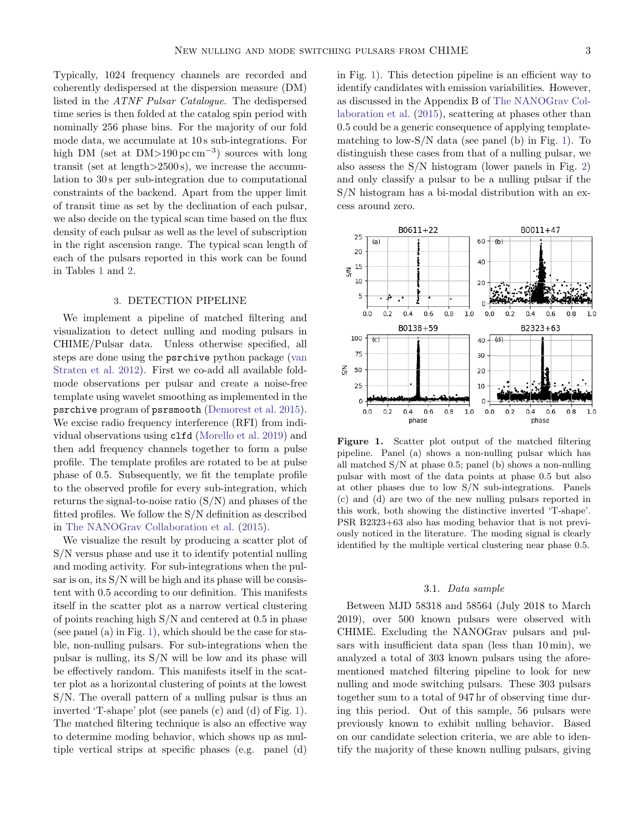Typically, 1024 frequency channels are recorded and coherently dedispersed at the dispersion measure (DM) listed in the ATNF Pulsar Catalogue. The dedispersed time series is then folded at the catalog spin period with nominally 256 phase bins. For the majority of our fold mode data, we accumulate at 10 s sub-integrations. For high DM (set at  $DM > 190 \,\text{pc cm}^{-3}$ ) sources with long transit (set at length>2500 s), we increase the accumulation to 30 s per sub-integration due to computational constraints of the backend. Apart from the upper limit of transit time as set by the declination of each pulsar, we also decide on the typical scan time based on the flux density of each pulsar as well as the level of subscription in the right ascension range. The typical scan length of each of the pulsars reported in this work can be found in Tables [1](#page-4-1) and [2.](#page-4-2)

# 3. DETECTION PIPELINE

<span id="page-2-0"></span>We implement a pipeline of matched filtering and visualization to detect nulling and moding pulsars in CHIME/Pulsar data. Unless otherwise specified, all steps are done using the psrchive python package [\(van](#page-10-13) [Straten et al.](#page-10-13) [2012\)](#page-10-13). First we co-add all available foldmode observations per pulsar and create a noise-free template using wavelet smoothing as implemented in the psrchive program of psrsmooth [\(Demorest et al.](#page-9-17) [2015\)](#page-9-17). We excise radio frequency interference (RFI) from individual observations using clfd [\(Morello et al.](#page-10-14) [2019\)](#page-10-14) and then add frequency channels together to form a pulse profile. The template profiles are rotated to be at pulse phase of 0.5. Subsequently, we fit the template profile to the observed profile for every sub-integration, which returns the signal-to-noise ratio  $(S/N)$  and phases of the fitted profiles. We follow the S/N definition as described in [The NANOGrav Collaboration et al.](#page-10-15) [\(2015\)](#page-10-15).

We visualize the result by producing a scatter plot of S/N versus phase and use it to identify potential nulling and moding activity. For sub-integrations when the pulsar is on, its S/N will be high and its phase will be consistent with 0.5 according to our definition. This manifests itself in the scatter plot as a narrow vertical clustering of points reaching high S/N and centered at 0.5 in phase (see panel (a) in Fig. [1\)](#page-2-1), which should be the case for stable, non-nulling pulsars. For sub-integrations when the pulsar is nulling, its S/N will be low and its phase will be effectively random. This manifests itself in the scatter plot as a horizontal clustering of points at the lowest S/N. The overall pattern of a nulling pulsar is thus an inverted 'T-shape' plot (see panels (c) and (d) of Fig. [1\)](#page-2-1). The matched filtering technique is also an effective way to determine moding behavior, which shows up as multiple vertical strips at specific phases (e.g. panel (d)

in Fig. [1\)](#page-2-1). This detection pipeline is an efficient way to identify candidates with emission variabilities. However, as discussed in the Appendix B of [The NANOGrav Col](#page-10-15)[laboration et al.](#page-10-15) [\(2015\)](#page-10-15), scattering at phases other than 0.5 could be a generic consequence of applying templatematching to low- $S/N$  data (see panel (b) in Fig. [1\)](#page-2-1). To distinguish these cases from that of a nulling pulsar, we also assess the S/N histogram (lower panels in Fig. [2\)](#page-5-1) and only classify a pulsar to be a nulling pulsar if the S/N histogram has a bi-modal distribution with an excess around zero.



<span id="page-2-1"></span>Figure 1. Scatter plot output of the matched filtering pipeline. Panel (a) shows a non-nulling pulsar which has all matched S/N at phase 0.5; panel (b) shows a non-nulling pulsar with most of the data points at phase 0.5 but also at other phases due to low S/N sub-integrations. Panels (c) and (d) are two of the new nulling pulsars reported in this work, both showing the distinctive inverted 'T-shape'. PSR B2323+63 also has moding behavior that is not previously noticed in the literature. The moding signal is clearly identified by the multiple vertical clustering near phase 0.5.

#### 3.1. Data sample

Between MJD 58318 and 58564 (July 2018 to March 2019), over 500 known pulsars were observed with CHIME. Excluding the NANOGrav pulsars and pulsars with insufficient data span (less than 10 min), we analyzed a total of 303 known pulsars using the aforementioned matched filtering pipeline to look for new nulling and mode switching pulsars. These 303 pulsars together sum to a total of 947 hr of observing time during this period. Out of this sample, 56 pulsars were previously known to exhibit nulling behavior. Based on our candidate selection criteria, we are able to identify the majority of these known nulling pulsars, giving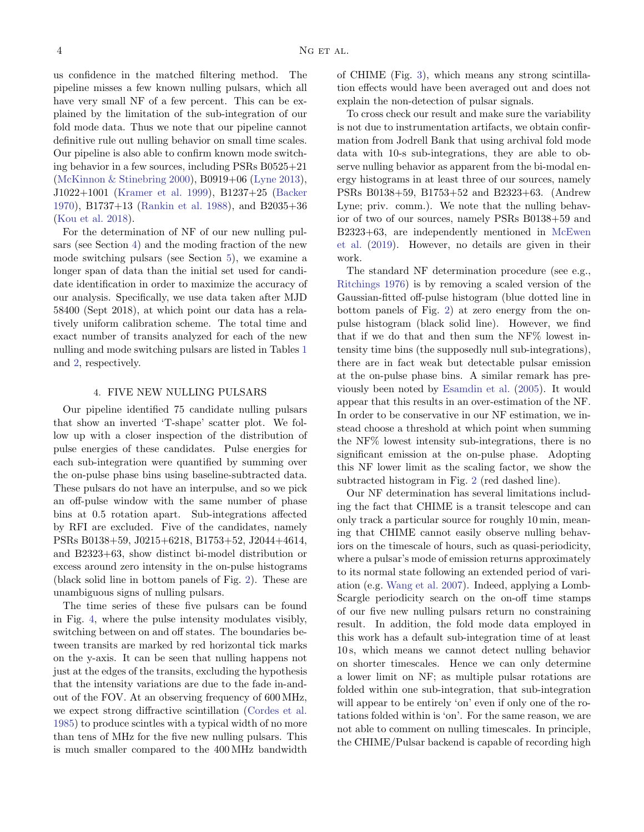us confidence in the matched filtering method. The pipeline misses a few known nulling pulsars, which all have very small NF of a few percent. This can be explained by the limitation of the sub-integration of our fold mode data. Thus we note that our pipeline cannot definitive rule out nulling behavior on small time scales. Our pipeline is also able to confirm known mode switching behavior in a few sources, including PSRs B0525+21 [\(McKinnon & Stinebring](#page-10-16) [2000\)](#page-10-16), B0919+06 [\(Lyne](#page-9-18) [2013\)](#page-9-18), J1022+1001 [\(Kramer et al.](#page-9-19) [1999\)](#page-9-19), B1237+25 [\(Backer](#page-9-0) [1970\)](#page-9-0), B1737+13 [\(Rankin et al.](#page-10-17) [1988\)](#page-10-17), and B2035+36 [\(Kou et al.](#page-9-20) [2018\)](#page-9-20).

For the determination of NF of our new nulling pulsars (see Section [4\)](#page-3-0) and the moding fraction of the new mode switching pulsars (see Section [5\)](#page-4-0), we examine a longer span of data than the initial set used for candidate identification in order to maximize the accuracy of our analysis. Specifically, we use data taken after MJD 58400 (Sept 2018), at which point our data has a relatively uniform calibration scheme. The total time and exact number of transits analyzed for each of the new nulling and mode switching pulsars are listed in Tables [1](#page-4-1) and [2,](#page-4-2) respectively.

## 4. FIVE NEW NULLING PULSARS

<span id="page-3-0"></span>Our pipeline identified 75 candidate nulling pulsars that show an inverted 'T-shape' scatter plot. We follow up with a closer inspection of the distribution of pulse energies of these candidates. Pulse energies for each sub-integration were quantified by summing over the on-pulse phase bins using baseline-subtracted data. These pulsars do not have an interpulse, and so we pick an off-pulse window with the same number of phase bins at 0.5 rotation apart. Sub-integrations affected by RFI are excluded. Five of the candidates, namely PSRs B0138+59, J0215+6218, B1753+52, J2044+4614, and B2323+63, show distinct bi-model distribution or excess around zero intensity in the on-pulse histograms (black solid line in bottom panels of Fig. [2\)](#page-5-1). These are unambiguous signs of nulling pulsars.

The time series of these five pulsars can be found in Fig. [4,](#page-6-0) where the pulse intensity modulates visibly, switching between on and off states. The boundaries between transits are marked by red horizontal tick marks on the y-axis. It can be seen that nulling happens not just at the edges of the transits, excluding the hypothesis that the intensity variations are due to the fade in-andout of the FOV. At an observing frequency of 600 MHz, we expect strong diffractive scintillation [\(Cordes et al.](#page-9-21) [1985\)](#page-9-21) to produce scintles with a typical width of no more than tens of MHz for the five new nulling pulsars. This is much smaller compared to the 400 MHz bandwidth

of CHIME (Fig. [3\)](#page-5-2), which means any strong scintillation effects would have been averaged out and does not explain the non-detection of pulsar signals.

To cross check our result and make sure the variability is not due to instrumentation artifacts, we obtain confirmation from Jodrell Bank that using archival fold mode data with 10-s sub-integrations, they are able to observe nulling behavior as apparent from the bi-modal energy histograms in at least three of our sources, namely PSRs B0138+59, B1753+52 and B2323+63. (Andrew Lyne; priv. comm.). We note that the nulling behavior of two of our sources, namely PSRs B0138+59 and B2323+63, are independently mentioned in [McEwen](#page-9-22) [et al.](#page-9-22) [\(2019\)](#page-9-22). However, no details are given in their work.

The standard NF determination procedure (see e.g., [Ritchings](#page-10-5) [1976\)](#page-10-5) is by removing a scaled version of the Gaussian-fitted off-pulse histogram (blue dotted line in bottom panels of Fig. [2\)](#page-5-1) at zero energy from the onpulse histogram (black solid line). However, we find that if we do that and then sum the NF% lowest intensity time bins (the supposedly null sub-integrations), there are in fact weak but detectable pulsar emission at the on-pulse phase bins. A similar remark has previously been noted by [Esamdin et al.](#page-9-9) [\(2005\)](#page-9-9). It would appear that this results in an over-estimation of the NF. In order to be conservative in our NF estimation, we instead choose a threshold at which point when summing the NF% lowest intensity sub-integrations, there is no significant emission at the on-pulse phase. Adopting this NF lower limit as the scaling factor, we show the subtracted histogram in Fig. [2](#page-5-1) (red dashed line).

Our NF determination has several limitations including the fact that CHIME is a transit telescope and can only track a particular source for roughly 10 min, meaning that CHIME cannot easily observe nulling behaviors on the timescale of hours, such as quasi-periodicity, where a pulsar's mode of emission returns approximately to its normal state following an extended period of variation (e.g. [Wang et al.](#page-10-0) [2007\)](#page-10-0). Indeed, applying a Lomb-Scargle periodicity search on the on-off time stamps of our five new nulling pulsars return no constraining result. In addition, the fold mode data employed in this work has a default sub-integration time of at least 10 s, which means we cannot detect nulling behavior on shorter timescales. Hence we can only determine a lower limit on NF; as multiple pulsar rotations are folded within one sub-integration, that sub-integration will appear to be entirely 'on' even if only one of the rotations folded within is 'on'. For the same reason, we are not able to comment on nulling timescales. In principle, the CHIME/Pulsar backend is capable of recording high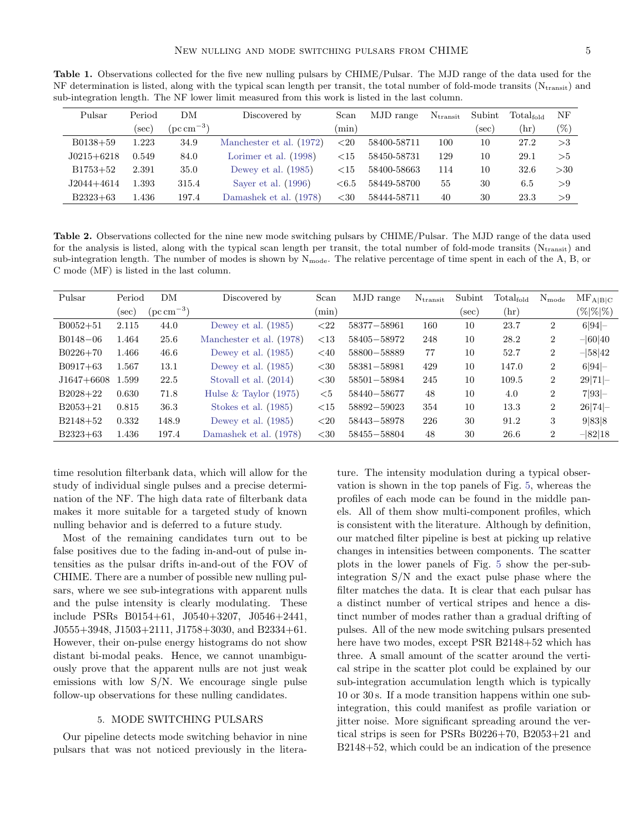| ub-integration length. The NF lower himt measured from this work is listed in the last column. |        |                               |                          |          |             |                   |        |                 |        |  |
|------------------------------------------------------------------------------------------------|--------|-------------------------------|--------------------------|----------|-------------|-------------------|--------|-----------------|--------|--|
| Pulsar                                                                                         | Period | DM                            | Discovered by            | Scan     | MJD range   | $N_{\rm transit}$ | Subint | $Total_{fold}$  | NF     |  |
|                                                                                                | sec)   | $(\text{pc}\,\text{cm}^{-3})$ |                          | $(\min)$ |             |                   | (sec)  | $(\mathrm{hr})$ | $(\%)$ |  |
| $B0138+59$                                                                                     | 1.223  | 34.9                          | Manchester et al. (1972) | ${<}20$  | 58400-58711 | 100               | 10     | 27.2            | >3     |  |
| $J0215+6218$                                                                                   | 0.549  | 84.0                          | Lorimer et al. $(1998)$  | ${<}15$  | 58450-58731 | 129               | 10     | 29.1            | >5     |  |
| $B1753+52$                                                                                     | 2.391  | 35.0                          | Dewey et al. $(1985)$    | ${<}15$  | 58400-58663 | 114               | 10     | 32.6            | >30    |  |
| $J2044+4614$                                                                                   | 1.393  | 315.4                         | Sayer et al. $(1996)$    | ${<}6.5$ | 58449-58700 | 55                | 30     | 6.5             | > 9    |  |

<span id="page-4-1"></span>Table 1. Observations collected for the five new nulling pulsars by CHIME/Pulsar. The MJD range of the data used for the NF determination is listed, along with the typical scan length per transit, the total number of fold-mode transits ( $N_{transit}$ ) and sub integration length. The NF lewer limit measured from this work is listed in the lest col sub-integration length. The NF lower limit measured from this work is listed in the last

Table 2. Observations collected for the nine new mode switching pulsars by CHIME/Pulsar. The MJD range of the data used for the analysis is listed, along with the typical scan length per transit, the total number of fold-mode transits (Ntransit) and sub-integration length. The number of modes is shown by  $N_{\text{mode}}$ . The relative percentage of time spent in each of the A, B, or C mode (MF) is listed in the last column.

<span id="page-4-2"></span>B2323+63 1.436 197.4 [Damashek et al.](#page-9-26) [\(1978\)](#page-9-26) <30 58444-58711 40 30 23.3 >9

| Pulsar       | Period | DM                            | Discovered by            | Scan     | MJD range   | $N_{\rm transit}$ | Subint | Total <sub>fold</sub> | $N_{mode}$     | $\rm MF_{A B C}$ |
|--------------|--------|-------------------------------|--------------------------|----------|-------------|-------------------|--------|-----------------------|----------------|------------------|
|              | sec)   | $(\text{pc}\,\text{cm}^{-3})$ |                          | $(\min)$ |             |                   | (sec)  | $(\mathrm{hr})$       |                | $(\% \% \%)$     |
| $B0052 + 51$ | 2.115  | 44.0                          | Dewey et al. $(1985)$    | ${<}22$  | 58377-58961 | 160               | 10     | 23.7                  | $\overline{2}$ | 6 94             |
| $B0148 - 06$ | 1.464  | 25.6                          | Manchester et al. (1978) | <13      | 58405-58972 | 248               | 10     | 28.2                  | 2              | $-60 40$         |
| $B0226+70$   | 1.466  | 46.6                          | Dewey et al. $(1985)$    | <40      | 58800-58889 | 77                | 10     | 52.7                  | $\overline{2}$ | $-58 42$         |
| $B0917+63$   | 1.567  | 13.1                          | Dewey et al. $(1985)$    | $<$ 30   | 58381-58981 | 429               | 10     | 147.0                 | $\overline{2}$ | 6 94             |
| $J1647+6608$ | 1.599  | 22.5                          | Stovall et al. $(2014)$  | $<$ 30   | 58501-58984 | 245               | 10     | 109.5                 | $\overline{2}$ | 29 71            |
| $B2028+22$   | 0.630  | 71.8                          | Hulse & Taylor $(1975)$  | <5       | 58440-58677 | 48                | 10     | 4.0                   | $\overline{2}$ | 7 93             |
| $B2053+21$   | 0.815  | 36.3                          | Stokes et al. $(1985)$   | ${<}15$  | 58892-59023 | 354               | 10     | 13.3                  | $\overline{2}$ | $26 74  -$       |
| $B2148+52$   | 0.332  | 148.9                         | Dewey et al. $(1985)$    | ${<}20$  | 58443-58978 | 226               | 30     | 91.2                  | 3              | 9 83 8           |
| $B2323+63$   | 1.436  | 197.4                         | Damashek et al. (1978)   | $<$ 30   | 58455-58804 | 48                | 30     | 26.6                  | $\overline{2}$ | $-82 18$         |

time resolution filterbank data, which will allow for the study of individual single pulses and a precise determination of the NF. The high data rate of filterbank data makes it more suitable for a targeted study of known nulling behavior and is deferred to a future study.

Most of the remaining candidates turn out to be false positives due to the fading in-and-out of pulse intensities as the pulsar drifts in-and-out of the FOV of CHIME. There are a number of possible new nulling pulsars, where we see sub-integrations with apparent nulls and the pulse intensity is clearly modulating. These include PSRs B0154+61, J0540+3207, J0546+2441, J0555+3948, J1503+2111, J1758+3030, and B2334+61. However, their on-pulse energy histograms do not show distant bi-modal peaks. Hence, we cannot unambiguously prove that the apparent nulls are not just weak emissions with low S/N. We encourage single pulse follow-up observations for these nulling candidates.

#### 5. MODE SWITCHING PULSARS

<span id="page-4-0"></span>Our pipeline detects mode switching behavior in nine pulsars that was not noticed previously in the literature. The intensity modulation during a typical observation is shown in the top panels of Fig. [5,](#page-7-0) whereas the profiles of each mode can be found in the middle panels. All of them show multi-component profiles, which is consistent with the literature. Although by definition, our matched filter pipeline is best at picking up relative changes in intensities between components. The scatter plots in the lower panels of Fig. [5](#page-7-0) show the per-subintegration S/N and the exact pulse phase where the filter matches the data. It is clear that each pulsar has a distinct number of vertical stripes and hence a distinct number of modes rather than a gradual drifting of pulses. All of the new mode switching pulsars presented here have two modes, except PSR B2148+52 which has three. A small amount of the scatter around the vertical stripe in the scatter plot could be explained by our sub-integration accumulation length which is typically 10 or 30 s. If a mode transition happens within one subintegration, this could manifest as profile variation or jitter noise. More significant spreading around the vertical strips is seen for PSRs B0226+70, B2053+21 and B2148+52, which could be an indication of the presence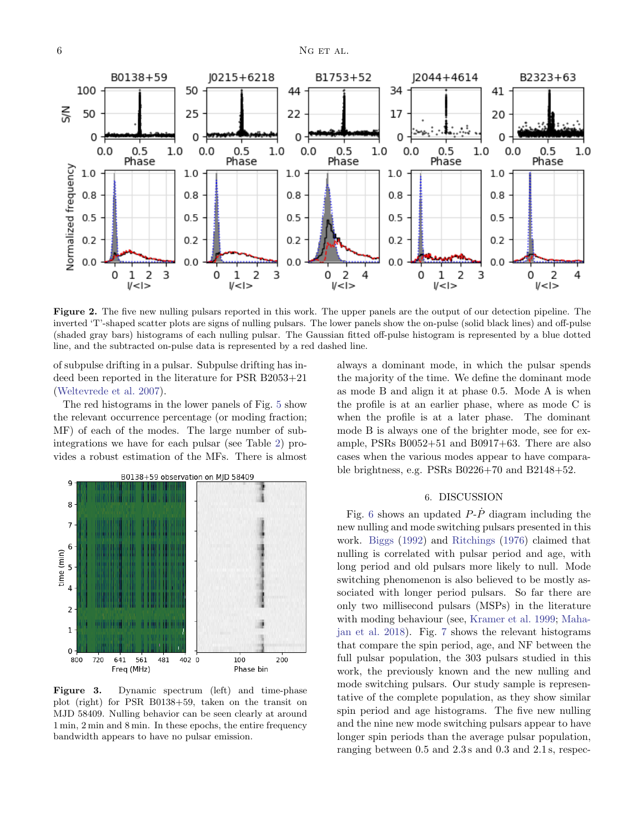

<span id="page-5-1"></span>Figure 2. The five new nulling pulsars reported in this work. The upper panels are the output of our detection pipeline. The inverted 'T'-shaped scatter plots are signs of nulling pulsars. The lower panels show the on-pulse (solid black lines) and off-pulse (shaded gray bars) histograms of each nulling pulsar. The Gaussian fitted off-pulse histogram is represented by a blue dotted line, and the subtracted on-pulse data is represented by a red dashed line.

of subpulse drifting in a pulsar. Subpulse drifting has indeed been reported in the literature for PSR B2053+21 [\(Weltevrede et al.](#page-10-21) [2007\)](#page-10-21).

The red histograms in the lower panels of Fig. [5](#page-7-0) show the relevant occurrence percentage (or moding fraction; MF) of each of the modes. The large number of subintegrations we have for each pulsar (see Table [2\)](#page-4-2) provides a robust estimation of the MFs. There is almost



<span id="page-5-2"></span>Figure 3. Dynamic spectrum (left) and time-phase plot (right) for PSR B0138+59, taken on the transit on MJD 58409. Nulling behavior can be seen clearly at around 1 min, 2 min and 8 min. In these epochs, the entire frequency bandwidth appears to have no pulsar emission.

always a dominant mode, in which the pulsar spends the majority of the time. We define the dominant mode as mode B and align it at phase 0.5. Mode A is when the profile is at an earlier phase, where as mode C is when the profile is at a later phase. The dominant mode B is always one of the brighter mode, see for example, PSRs B0052+51 and B0917+63. There are also cases when the various modes appear to have comparable brightness, e.g. PSRs B0226+70 and B2148+52.

### 6. DISCUSSION

<span id="page-5-0"></span>Fig. [6](#page-8-1) shows an updated  $P-\dot{P}$  diagram including the new nulling and mode switching pulsars presented in this work. [Biggs](#page-9-29) [\(1992\)](#page-9-29) and [Ritchings](#page-10-5) [\(1976\)](#page-10-5) claimed that nulling is correlated with pulsar period and age, with long period and old pulsars more likely to null. Mode switching phenomenon is also believed to be mostly associated with longer period pulsars. So far there are only two millisecond pulsars (MSPs) in the literature with moding behaviour (see, [Kramer et al.](#page-9-19) [1999;](#page-9-19) [Maha](#page-9-30)[jan et al.](#page-9-30) [2018\)](#page-9-30). Fig. [7](#page-8-2) shows the relevant histograms that compare the spin period, age, and NF between the full pulsar population, the 303 pulsars studied in this work, the previously known and the new nulling and mode switching pulsars. Our study sample is representative of the complete population, as they show similar spin period and age histograms. The five new nulling and the nine new mode switching pulsars appear to have longer spin periods than the average pulsar population, ranging between 0.5 and 2.3 s and 0.3 and 2.1 s, respec-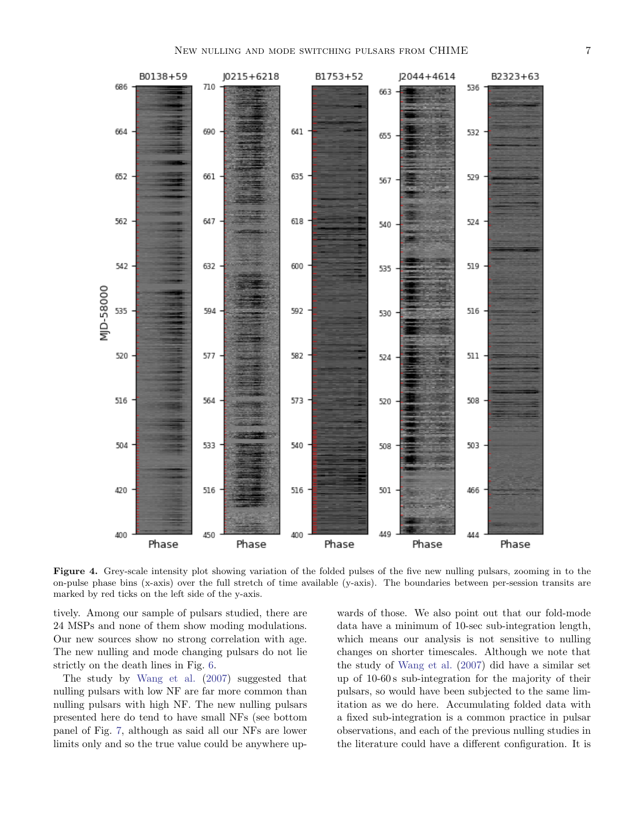

<span id="page-6-0"></span>Figure 4. Grey-scale intensity plot showing variation of the folded pulses of the five new nulling pulsars, zooming in to the on-pulse phase bins (x-axis) over the full stretch of time available (y-axis). The boundaries between per-session transits are marked by red ticks on the left side of the y-axis.

tively. Among our sample of pulsars studied, there are 24 MSPs and none of them show moding modulations. Our new sources show no strong correlation with age. The new nulling and mode changing pulsars do not lie strictly on the death lines in Fig. [6.](#page-8-1)

The study by [Wang et al.](#page-10-0) [\(2007\)](#page-10-0) suggested that nulling pulsars with low NF are far more common than nulling pulsars with high NF. The new nulling pulsars presented here do tend to have small NFs (see bottom panel of Fig. [7,](#page-8-2) although as said all our NFs are lower limits only and so the true value could be anywhere upwards of those. We also point out that our fold-mode data have a minimum of 10-sec sub-integration length, which means our analysis is not sensitive to nulling changes on shorter timescales. Although we note that the study of [Wang et al.](#page-10-0) [\(2007\)](#page-10-0) did have a similar set up of 10-60 s sub-integration for the majority of their pulsars, so would have been subjected to the same limitation as we do here. Accumulating folded data with a fixed sub-integration is a common practice in pulsar observations, and each of the previous nulling studies in the literature could have a different configuration. It is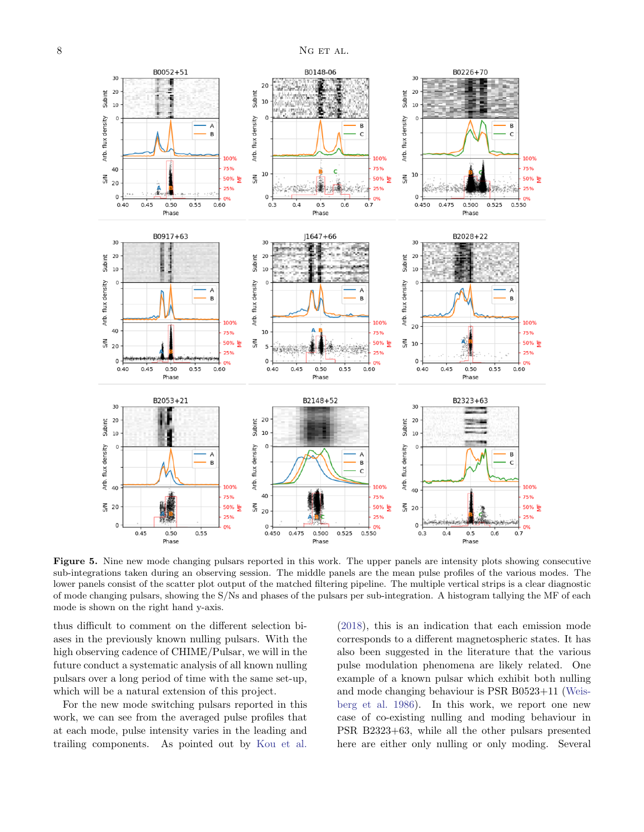

<span id="page-7-0"></span>Figure 5. Nine new mode changing pulsars reported in this work. The upper panels are intensity plots showing consecutive sub-integrations taken during an observing session. The middle panels are the mean pulse profiles of the various modes. The lower panels consist of the scatter plot output of the matched filtering pipeline. The multiple vertical strips is a clear diagnostic of mode changing pulsars, showing the S/Ns and phases of the pulsars per sub-integration. A histogram tallying the MF of each mode is shown on the right hand y-axis.

thus difficult to comment on the different selection biases in the previously known nulling pulsars. With the high observing cadence of CHIME/Pulsar, we will in the future conduct a systematic analysis of all known nulling pulsars over a long period of time with the same set-up, which will be a natural extension of this project.

For the new mode switching pulsars reported in this work, we can see from the averaged pulse profiles that at each mode, pulse intensity varies in the leading and trailing components. As pointed out by [Kou et al.](#page-9-20)

[\(2018\)](#page-9-20), this is an indication that each emission mode corresponds to a different magnetospheric states. It has also been suggested in the literature that the various pulse modulation phenomena are likely related. One example of a known pulsar which exhibit both nulling and mode changing behaviour is PSR B0523+11 [\(Weis](#page-10-22)[berg et al.](#page-10-22) [1986\)](#page-10-22). In this work, we report one new case of co-existing nulling and moding behaviour in PSR B2323+63, while all the other pulsars presented here are either only nulling or only moding. Several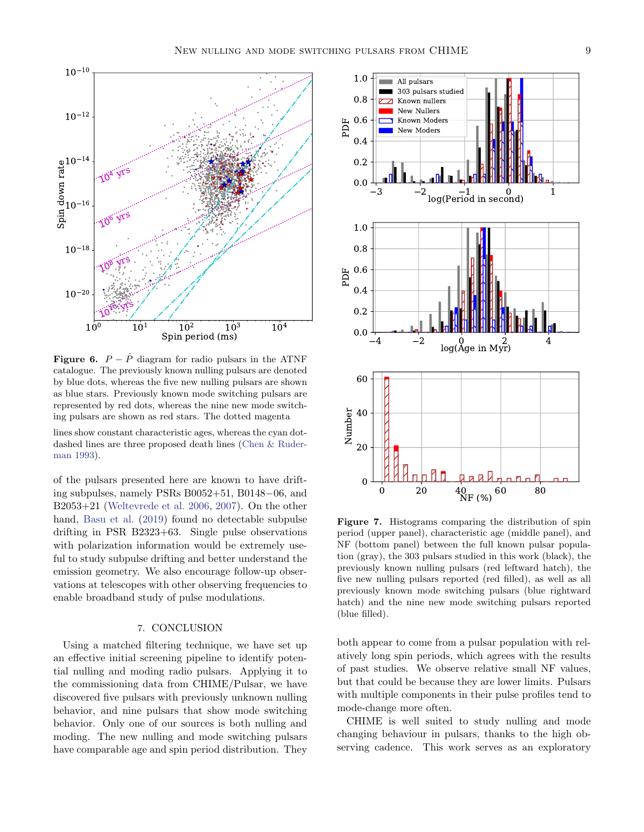



<span id="page-8-1"></span>**Figure 6.**  $P - \dot{P}$  diagram for radio pulsars in the ATNF catalogue. The previously known nulling pulsars are denoted by blue dots, whereas the five new nulling pulsars are shown as blue stars. Previously known mode switching pulsars are represented by red dots, whereas the nine new mode switching pulsars are shown as red stars. The dotted magenta

lines show constant characteristic ages, whereas the cyan dotdashed lines are three proposed death lines [\(Chen & Ruder](#page-9-31)[man](#page-9-31) [1993\)](#page-9-31).

of the pulsars presented here are known to have drifting subpulses, namely PSRs B0052+51, B0148−06, and B2053+21 [\(Weltevrede et al.](#page-10-23) [2006,](#page-10-23) [2007\)](#page-10-21). On the other hand, [Basu et al.](#page-9-32) [\(2019\)](#page-9-32) found no detectable subpulse drifting in PSR B2323+63. Single pulse observations with polarization information would be extremely useful to study subpulse drifting and better understand the emission geometry. We also encourage follow-up observations at telescopes with other observing frequencies to enable broadband study of pulse modulations.

### 7. CONCLUSION

<span id="page-8-0"></span>Using a matched filtering technique, we have set up an effective initial screening pipeline to identify potential nulling and moding radio pulsars. Applying it to the commissioning data from CHIME/Pulsar, we have discovered five pulsars with previously unknown nulling behavior, and nine pulsars that show mode switching behavior. Only one of our sources is both nulling and moding. The new nulling and mode switching pulsars have comparable age and spin period distribution. They



<span id="page-8-2"></span>Figure 7. Histograms comparing the distribution of spin period (upper panel), characteristic age (middle panel), and NF (bottom panel) between the full known pulsar population (gray), the 303 pulsars studied in this work (black), the previously known nulling pulsars (red leftward hatch), the five new nulling pulsars reported (red filled), as well as all previously known mode switching pulsars (blue rightward hatch) and the nine new mode switching pulsars reported (blue filled).

both appear to come from a pulsar population with relatively long spin periods, which agrees with the results of past studies. We observe relative small NF values, but that could be because they are lower limits. Pulsars with multiple components in their pulse profiles tend to mode-change more often.

CHIME is well suited to study nulling and mode changing behaviour in pulsars, thanks to the high observing cadence. This work serves as an exploratory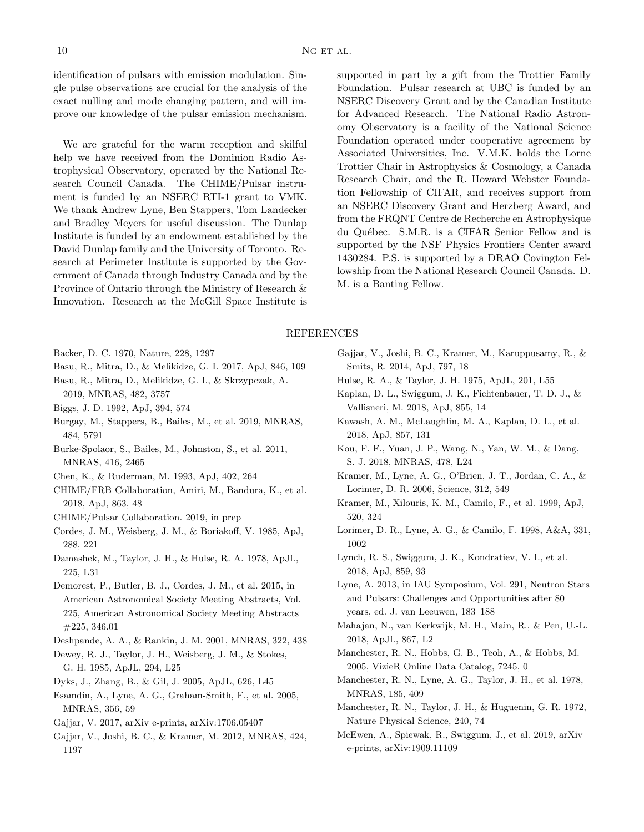identification of pulsars with emission modulation. Single pulse observations are crucial for the analysis of the exact nulling and mode changing pattern, and will improve our knowledge of the pulsar emission mechanism.

We are grateful for the warm reception and skilful help we have received from the Dominion Radio Astrophysical Observatory, operated by the National Research Council Canada. The CHIME/Pulsar instrument is funded by an NSERC RTI-1 grant to VMK. We thank Andrew Lyne, Ben Stappers, Tom Landecker and Bradley Meyers for useful discussion. The Dunlap Institute is funded by an endowment established by the David Dunlap family and the University of Toronto. Research at Perimeter Institute is supported by the Government of Canada through Industry Canada and by the Province of Ontario through the Ministry of Research & Innovation. Research at the McGill Space Institute is supported in part by a gift from the Trottier Family Foundation. Pulsar research at UBC is funded by an NSERC Discovery Grant and by the Canadian Institute for Advanced Research. The National Radio Astronomy Observatory is a facility of the National Science Foundation operated under cooperative agreement by Associated Universities, Inc. V.M.K. holds the Lorne Trottier Chair in Astrophysics & Cosmology, a Canada Research Chair, and the R. Howard Webster Foundation Fellowship of CIFAR, and receives support from an NSERC Discovery Grant and Herzberg Award, and from the FRQNT Centre de Recherche en Astrophysique du Québec. S.M.R. is a CIFAR Senior Fellow and is supported by the NSF Physics Frontiers Center award 1430284. P.S. is supported by a DRAO Covington Fellowship from the National Research Council Canada. D. M. is a Banting Fellow.

### REFERENCES

- <span id="page-9-0"></span>Backer, D. C. 1970, Nature, 228, 1297
- <span id="page-9-32"></span><span id="page-9-2"></span>Basu, R., Mitra, D., & Melikidze, G. I. 2017, ApJ, 846, 109
- Basu, R., Mitra, D., Melikidze, G. I., & Skrzypczak, A. 2019, MNRAS, 482, 3757
- <span id="page-9-29"></span><span id="page-9-6"></span>Biggs, J. D. 1992, ApJ, 394, 574
- Burgay, M., Stappers, B., Bailes, M., et al. 2019, MNRAS, 484, 5791
- <span id="page-9-13"></span>Burke-Spolaor, S., Bailes, M., Johnston, S., et al. 2011, MNRAS, 416, 2465
- <span id="page-9-31"></span>Chen, K., & Ruderman, M. 1993, ApJ, 402, 264
- <span id="page-9-16"></span>CHIME/FRB Collaboration, Amiri, M., Bandura, K., et al. 2018, ApJ, 863, 48
- <span id="page-9-15"></span>CHIME/Pulsar Collaboration. 2019, in prep
- <span id="page-9-21"></span>Cordes, J. M., Weisberg, J. M., & Boriakoff, V. 1985, ApJ, 288, 221
- <span id="page-9-26"></span>Damashek, M., Taylor, J. H., & Hulse, R. A. 1978, ApJL, 225, L31
- <span id="page-9-17"></span>Demorest, P., Butler, B. J., Cordes, J. M., et al. 2015, in American Astronomical Society Meeting Abstracts, Vol. 225, American Astronomical Society Meeting Abstracts #225, 346.01
- <span id="page-9-11"></span>Deshpande, A. A., & Rankin, J. M. 2001, MNRAS, 322, 438
- <span id="page-9-25"></span>Dewey, R. J., Taylor, J. H., Weisberg, J. M., & Stokes, G. H. 1985, ApJL, 294, L25
- <span id="page-9-10"></span>Dyks, J., Zhang, B., & Gil, J. 2005, ApJL, 626, L45
- <span id="page-9-9"></span>Esamdin, A., Lyne, A. G., Graham-Smith, F., et al. 2005, MNRAS, 356, 59
- <span id="page-9-1"></span>Gajjar, V. 2017, arXiv e-prints, arXiv:1706.05407
- <span id="page-9-14"></span>Gajjar, V., Joshi, B. C., & Kramer, M. 2012, MNRAS, 424, 1197
- <span id="page-9-12"></span>Gajjar, V., Joshi, B. C., Kramer, M., Karuppusamy, R., & Smits, R. 2014, ApJ, 797, 18
- <span id="page-9-28"></span><span id="page-9-5"></span>Hulse, R. A., & Taylor, J. H. 1975, ApJL, 201, L55
- Kaplan, D. L., Swiggum, J. K., Fichtenbauer, T. D. J., & Vallisneri, M. 2018, ApJ, 855, 14
- <span id="page-9-4"></span>Kawash, A. M., McLaughlin, M. A., Kaplan, D. L., et al. 2018, ApJ, 857, 131
- <span id="page-9-20"></span>Kou, F. F., Yuan, J. P., Wang, N., Yan, W. M., & Dang, S. J. 2018, MNRAS, 478, L24
- <span id="page-9-8"></span>Kramer, M., Lyne, A. G., O'Brien, J. T., Jordan, C. A., & Lorimer, D. R. 2006, Science, 312, 549
- <span id="page-9-19"></span>Kramer, M., Xilouris, K. M., Camilo, F., et al. 1999, ApJ, 520, 324
- <span id="page-9-24"></span>Lorimer, D. R., Lyne, A. G., & Camilo, F. 1998, A&A, 331, 1002
- <span id="page-9-3"></span>Lynch, R. S., Swiggum, J. K., Kondratiev, V. I., et al. 2018, ApJ, 859, 93
- <span id="page-9-18"></span>Lyne, A. 2013, in IAU Symposium, Vol. 291, Neutron Stars and Pulsars: Challenges and Opportunities after 80 years, ed. J. van Leeuwen, 183–188
- <span id="page-9-30"></span>Mahajan, N., van Kerkwijk, M. H., Main, R., & Pen, U.-L. 2018, ApJL, 867, L2
- <span id="page-9-7"></span>Manchester, R. N., Hobbs, G. B., Teoh, A., & Hobbs, M. 2005, VizieR Online Data Catalog, 7245, 0
- <span id="page-9-27"></span>Manchester, R. N., Lyne, A. G., Taylor, J. H., et al. 1978, MNRAS, 185, 409
- <span id="page-9-23"></span>Manchester, R. N., Taylor, J. H., & Huguenin, G. R. 1972, Nature Physical Science, 240, 74
- <span id="page-9-22"></span>McEwen, A., Spiewak, R., Swiggum, J., et al. 2019, arXiv e-prints, arXiv:1909.11109